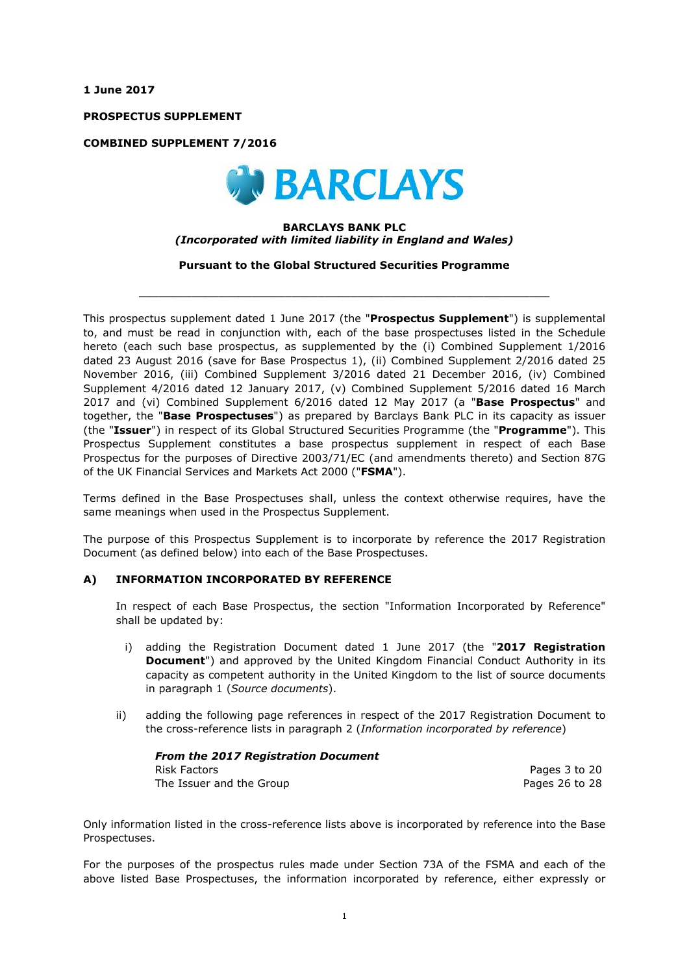**1 June 2017**

**PROSPECTUS SUPPLEMENT**

**COMBINED SUPPLEMENT 7/2016**



## **BARCLAYS BANK PLC** *(Incorporated with limited liability in England and Wales)*

**Pursuant to the Global Structured Securities Programme**

 $\_$  ,  $\_$  ,  $\_$  ,  $\_$  ,  $\_$  ,  $\_$  ,  $\_$  ,  $\_$  ,  $\_$  ,  $\_$  ,  $\_$  ,  $\_$  ,  $\_$  ,  $\_$  ,  $\_$  ,  $\_$  ,  $\_$  ,  $\_$  ,  $\_$  ,  $\_$  ,  $\_$  ,  $\_$  ,  $\_$  ,  $\_$  ,  $\_$  ,  $\_$  ,  $\_$  ,  $\_$  ,  $\_$  ,  $\_$  ,  $\_$  ,  $\_$  ,  $\_$  ,  $\_$  ,  $\_$  ,  $\_$  ,  $\_$  ,

This prospectus supplement dated 1 June 2017 (the "**Prospectus Supplement**") is supplemental to, and must be read in conjunction with, each of the base prospectuses listed in the Schedule hereto (each such base prospectus, as supplemented by the (i) Combined Supplement 1/2016 dated 23 August 2016 (save for Base Prospectus 1), (ii) Combined Supplement 2/2016 dated 25 November 2016, (iii) Combined Supplement 3/2016 dated 21 December 2016, (iv) Combined Supplement 4/2016 dated 12 January 2017, (v) Combined Supplement 5/2016 dated 16 March 2017 and (vi) Combined Supplement 6/2016 dated 12 May 2017 (a "**Base Prospectus**" and together, the "**Base Prospectuses**") as prepared by Barclays Bank PLC in its capacity as issuer (the "**Issuer**") in respect of its Global Structured Securities Programme (the "**Programme**"). This Prospectus Supplement constitutes a base prospectus supplement in respect of each Base Prospectus for the purposes of Directive 2003/71/EC (and amendments thereto) and Section 87G of the UK Financial Services and Markets Act 2000 ("**FSMA**").

Terms defined in the Base Prospectuses shall, unless the context otherwise requires, have the same meanings when used in the Prospectus Supplement.

The purpose of this Prospectus Supplement is to incorporate by reference the 2017 Registration Document (as defined below) into each of the Base Prospectuses.

## **A) INFORMATION INCORPORATED BY REFERENCE**

In respect of each Base Prospectus, the section "Information Incorporated by Reference" shall be updated by:

- i) adding the Registration Document dated 1 June 2017 (the "**2017 Registration Document**") and approved by the United Kingdom Financial Conduct Authority in its capacity as competent authority in the United Kingdom to the list of source documents in paragraph 1 (*Source documents*).
- ii) adding the following page references in respect of the 2017 Registration Document to the cross-reference lists in paragraph 2 (*Information incorporated by reference*)

*From the 2017 Registration Document* Risk Factors **Pages 3** to 20 The Issuer and the Group **Pages 26** to 28

Only information listed in the cross-reference lists above is incorporated by reference into the Base Prospectuses.

For the purposes of the prospectus rules made under Section 73A of the FSMA and each of the above listed Base Prospectuses, the information incorporated by reference, either expressly or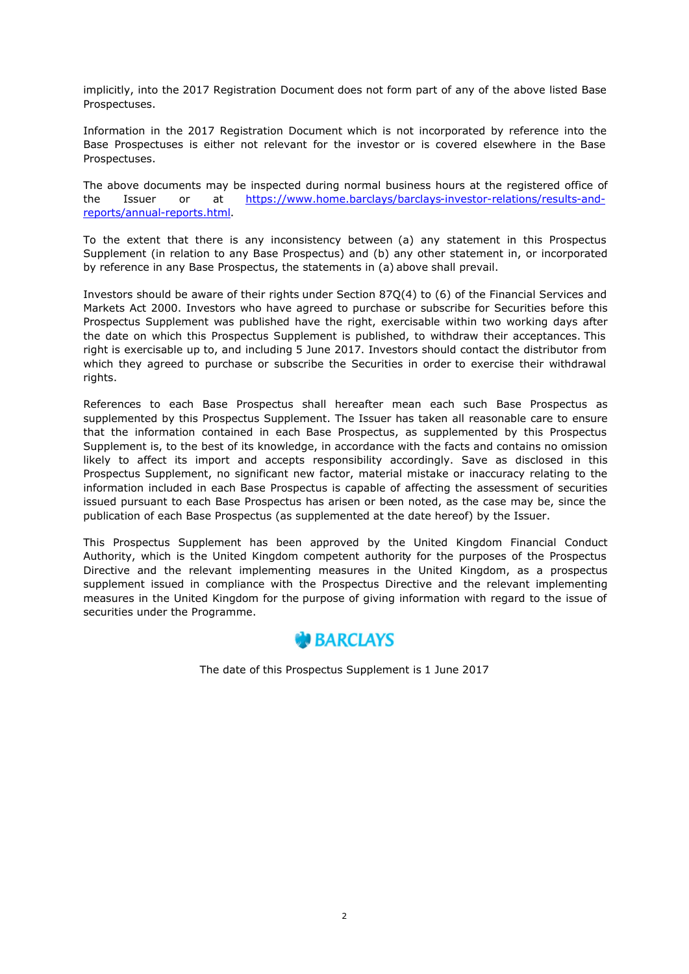implicitly, into the 2017 Registration Document does not form part of any of the above listed Base Prospectuses.

Information in the 2017 Registration Document which is not incorporated by reference into the Base Prospectuses is either not relevant for the investor or is covered elsewhere in the Base Prospectuses.

The above documents may be inspected during normal business hours at the registered office of the Issuer or at https://www.home.barclays/barclays-investor-relations/results-andreports/annual-reports.html.

To the extent that there is any inconsistency between (a) any statement in this Prospectus Supplement (in relation to any Base Prospectus) and (b) any other statement in, or incorporated by reference in any Base Prospectus, the statements in (a) above shall prevail.

Investors should be aware of their rights under Section 87Q(4) to (6) of the Financial Services and Markets Act 2000. Investors who have agreed to purchase or subscribe for Securities before this Prospectus Supplement was published have the right, exercisable within two working days after the date on which this Prospectus Supplement is published, to withdraw their acceptances. This right is exercisable up to, and including 5 June 2017. Investors should contact the distributor from which they agreed to purchase or subscribe the Securities in order to exercise their withdrawal rights.

References to each Base Prospectus shall hereafter mean each such Base Prospectus as supplemented by this Prospectus Supplement. The Issuer has taken all reasonable care to ensure that the information contained in each Base Prospectus, as supplemented by this Prospectus Supplement is, to the best of its knowledge, in accordance with the facts and contains no omission likely to affect its import and accepts responsibility accordingly. Save as disclosed in this Prospectus Supplement, no significant new factor, material mistake or inaccuracy relating to the information included in each Base Prospectus is capable of affecting the assessment of securities issued pursuant to each Base Prospectus has arisen or been noted, as the case may be, since the publication of each Base Prospectus (as supplemented at the date hereof) by the Issuer.

This Prospectus Supplement has been approved by the United Kingdom Financial Conduct Authority, which is the United Kingdom competent authority for the purposes of the Prospectus Directive and the relevant implementing measures in the United Kingdom, as a prospectus supplement issued in compliance with the Prospectus Directive and the relevant implementing measures in the United Kingdom for the purpose of giving information with regard to the issue of securities under the Programme.



The date of this Prospectus Supplement is 1 June 2017